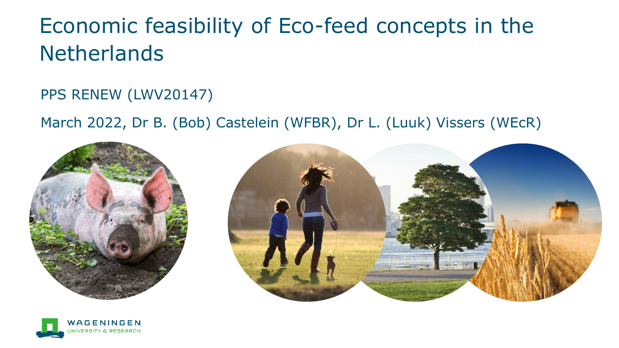### Economic feasibility of Eco-feed concepts in the **Netherlands**

PPS RENEW (LWV20147)

March 2022, Dr B. (Bob) Castelein (WFBR), Dr L. (Luuk) Vissers (WEcR)





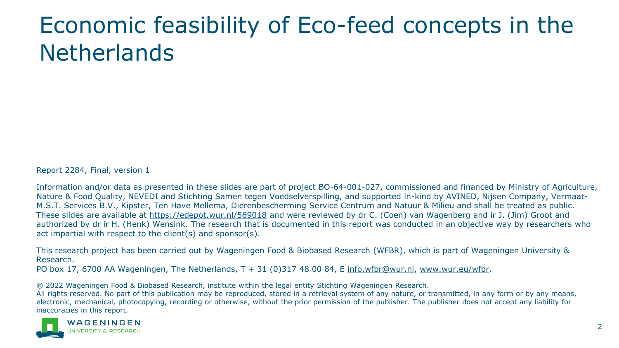## Economic feasibility of Eco-feed concepts in the **Netherlands**

Report 2284, Final, version 1

Information and/or data as presented in these slides are part of project BO-64-001-027, commissioned and financed by Ministry of Agriculture, Nature & Food Quality, NEVEDI and Stichting Samen tegen Voedselverspilling, and supported in-kind by AVINED, Nijsen Company, Vermaat-M.S.T. Services B.V., Kipster, Ten Have Mellema, Dierenbescherming Service Centrum and Natuur & Milieu and shall be treated as public. These slides are available at <https://edepot.wur.nl/569018> and were reviewed by dr C. (Coen) van Wagenberg and ir J. (Jim) Groot and authorized by dr ir H. (Henk) Wensink. The research that is documented in this report was conducted in an objective way by researchers who act impartial with respect to the client(s) and sponsor(s).

This research project has been carried out by Wageningen Food & Biobased Research (WFBR), which is part of Wageningen University & Research.

PO box 17, 6700 AA Wageningen, The Netherlands, T + 31 (0)317 48 00 84, E [info.wfbr@wur.nl,](mailto:info.wfbr@wur.nl) [www.wur.eu/wfbr.](http://www.wur.eu/wfbr)

© 2022 Wageningen Food & Biobased Research, institute within the legal entity Stichting Wageningen Research.

All rights reserved. No part of this publication may be reproduced, stored in a retrieval system of any nature, or transmitted, in any form or by any means, electronic, mechanical, photocopying, recording or otherwise, without the prior permission of the publisher. The publisher does not accept any liability for inaccuracies in this report.

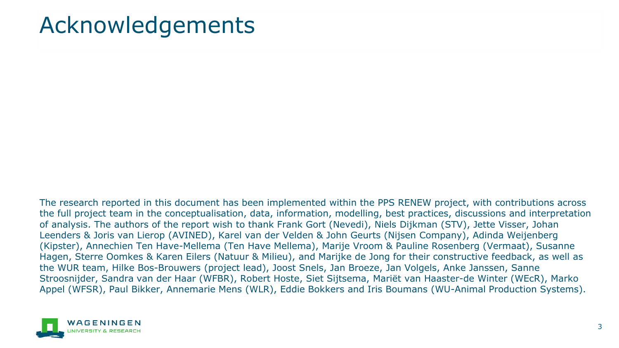### Acknowledgements

The research reported in this document has been implemented within the PPS RENEW project, with contributions across the full project team in the conceptualisation, data, information, modelling, best practices, discussions and interpretation of analysis. The authors of the report wish to thank Frank Gort (Nevedi), Niels Dijkman (STV), Jette Visser, Johan Leenders & Joris van Lierop (AVINED), Karel van der Velden & John Geurts (Nijsen Company), Adinda Weijenberg (Kipster), Annechien Ten Have-Mellema (Ten Have Mellema), Marije Vroom & Pauline Rosenberg (Vermaat), Susanne Hagen, Sterre Oomkes & Karen Eilers (Natuur & Milieu), and Marijke de Jong for their constructive feedback, as well as the WUR team, Hilke Bos-Brouwers (project lead), Joost Snels, Jan Broeze, Jan Volgels, Anke Janssen, Sanne Stroosnijder, Sandra van der Haar (WFBR), Robert Hoste, Siet Sijtsema, Mariët van Haaster-de Winter (WEcR), Marko Appel (WFSR), Paul Bikker, Annemarie Mens (WLR), Eddie Bokkers and Iris Boumans (WU-Animal Production Systems).

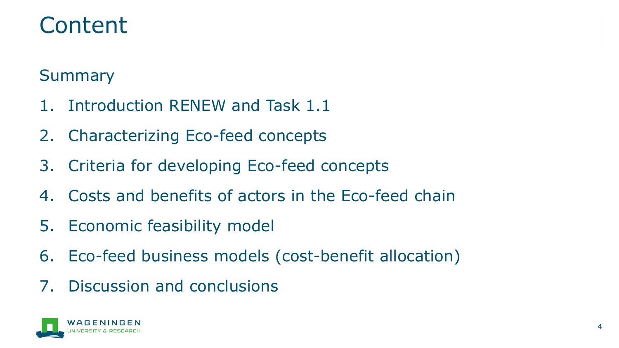### Content

### Summary

- 1. Introduction RENEW and Task 1.1
- 2. Characterizing Eco-feed concepts
- 3. Criteria for developing Eco-feed concepts
- 4. Costs and benefits of actors in the Eco-feed chain
- 5. Economic feasibility model
- 6. Eco-feed business models (cost-benefit allocation)
- 7. Discussion and conclusions

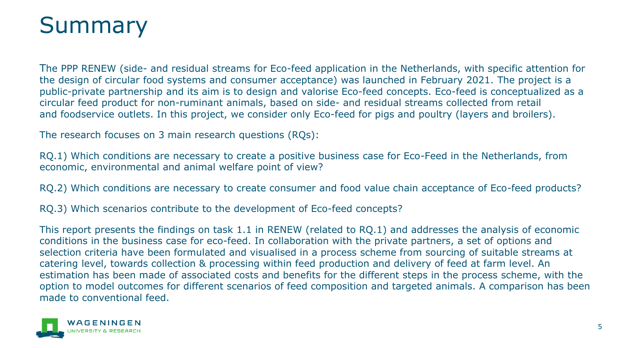### Summary

The PPP RENEW (side- and residual streams for Eco-feed application in the Netherlands, with specific attention for the design of circular food systems and consumer acceptance) was launched in February 2021. The project is a public-private partnership and its aim is to design and valorise Eco-feed concepts. Eco-feed is conceptualized as a circular feed product for non-ruminant animals, based on side- and residual streams collected from retail and foodservice outlets. In this project, we consider only Eco-feed for pigs and poultry (layers and broilers).

The research focuses on 3 main research questions (RQs):

RQ.1) Which conditions are necessary to create a positive business case for Eco-Feed in the Netherlands, from economic, environmental and animal welfare point of view?

RQ.2) Which conditions are necessary to create consumer and food value chain acceptance of Eco-feed products?

RQ.3) Which scenarios contribute to the development of Eco-feed concepts?

This report presents the findings on task 1.1 in RENEW (related to RQ.1) and addresses the analysis of economic conditions in the business case for eco-feed. In collaboration with the private partners, a set of options and selection criteria have been formulated and visualised in a process scheme from sourcing of suitable streams at catering level, towards collection & processing within feed production and delivery of feed at farm level. An estimation has been made of associated costs and benefits for the different steps in the process scheme, with the option to model outcomes for different scenarios of feed composition and targeted animals. A comparison has been made to conventional feed.

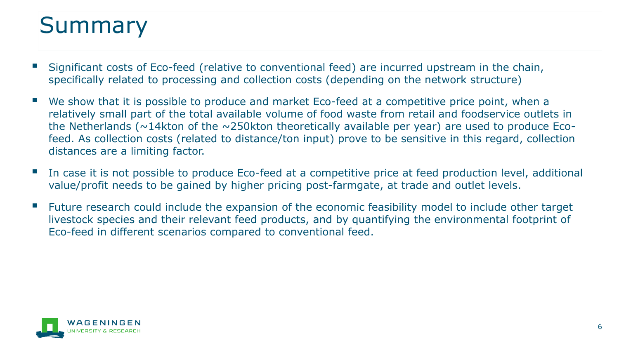### Summary

- Significant costs of Eco-feed (relative to conventional feed) are incurred upstream in the chain, specifically related to processing and collection costs (depending on the network structure)
- We show that it is possible to produce and market Eco-feed at a competitive price point, when a relatively small part of the total available volume of food waste from retail and foodservice outlets in the Netherlands ( $\sim$ 14kton of the  $\sim$ 250kton theoretically available per year) are used to produce Ecofeed. As collection costs (related to distance/ton input) prove to be sensitive in this regard, collection distances are a limiting factor.
- In case it is not possible to produce Eco-feed at a competitive price at feed production level, additional value/profit needs to be gained by higher pricing post-farmgate, at trade and outlet levels.
- Future research could include the expansion of the economic feasibility model to include other target livestock species and their relevant feed products, and by quantifying the environmental footprint of Eco-feed in different scenarios compared to conventional feed.

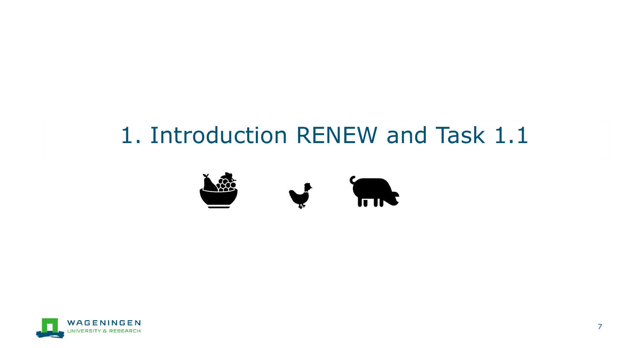### 1. Introduction RENEW and Task 1.1



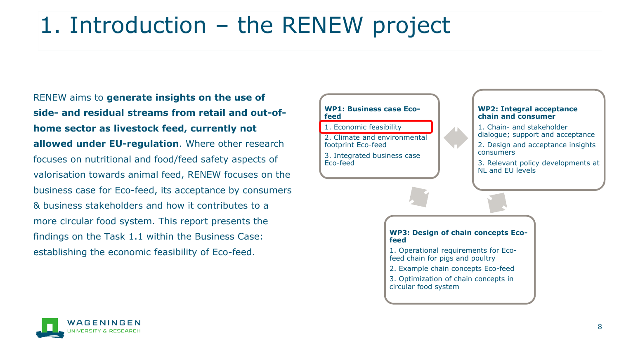### 1. Introduction – the RENEW project

RENEW aims to **generate insights on the use of side- and residual streams from retail and out-ofhome sector as livestock feed, currently not allowed under EU-regulation**. Where other research focuses on nutritional and food/feed safety aspects of valorisation towards animal feed, RENEW focuses on the business case for Eco-feed, its acceptance by consumers & business stakeholders and how it contributes to a more circular food system. This report presents the findings on the Task 1.1 within the Business Case: establishing the economic feasibility of Eco-feed.

#### **WP1: Business case Ecofeed**

1. Economic feasibility

2. Climate and environmental footprint Eco-feed

3. Integrated business case Eco-feed

#### **WP2: Integral acceptance chain and consumer**

1. Chain- and stakeholder dialogue; support and acceptance

2. Design and acceptance insights consumers

3. Relevant policy developments at NL and EU levels

#### **WP3: Design of chain concepts Ecofeed**

- 1. Operational requirements for Ecofeed chain for pigs and poultry
- 2. Example chain concepts Eco-feed
- 3. Optimization of chain concepts in circular food system

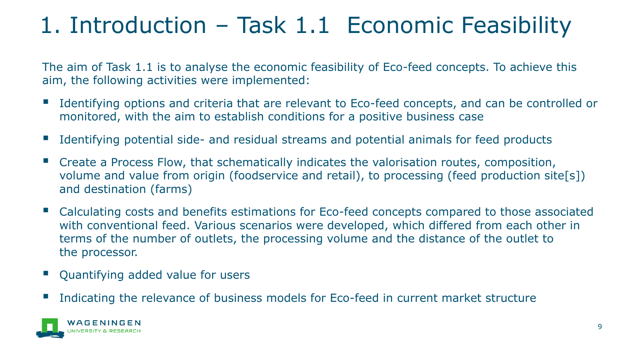### 1. Introduction – Task 1.1 Economic Feasibility

The aim of Task 1.1 is to analyse the economic feasibility of Eco-feed concepts. To achieve this aim, the following activities were implemented:

- Identifying options and criteria that are relevant to Eco-feed concepts, and can be controlled or monitored, with the aim to establish conditions for a positive business case
- Identifying potential side- and residual streams and potential animals for feed products
- Create a Process Flow, that schematically indicates the valorisation routes, composition, volume and value from origin (foodservice and retail), to processing (feed production site[s]) and destination (farms)
- Calculating costs and benefits estimations for Eco-feed concepts compared to those associated with conventional feed. Various scenarios were developed, which differed from each other in terms of the number of outlets, the processing volume and the distance of the outlet to the processor.
- Quantifying added value for users
- Indicating the relevance of business models for Eco-feed in current market structure

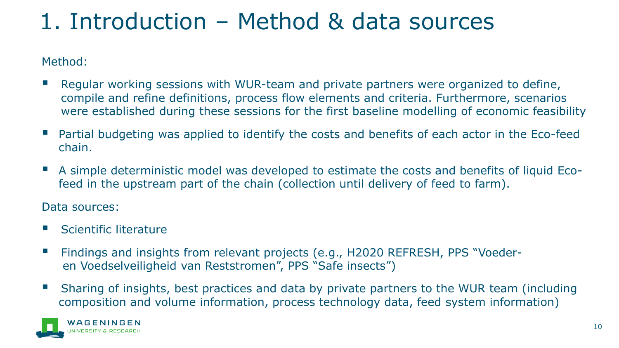### 1. Introduction – Method & data sources

Method:

- Regular working sessions with WUR-team and private partners were organized to define, compile and refine definitions, process flow elements and criteria. Furthermore, scenarios were established during these sessions for the first baseline modelling of economic feasibility
- Partial budgeting was applied to identify the costs and benefits of each actor in the Eco-feed chain.
- A simple deterministic model was developed to estimate the costs and benefits of liquid Ecofeed in the upstream part of the chain (collection until delivery of feed to farm).

Data sources:

- **Scientific literature**
- Findings and insights from relevant projects (e.g., H2020 REFRESH, PPS "Voederen Voedselveiligheid van Reststromen", PPS "Safe insects")
- Sharing of insights, best practices and data by private partners to the WUR team (including composition and volume information, process technology data, feed system information)

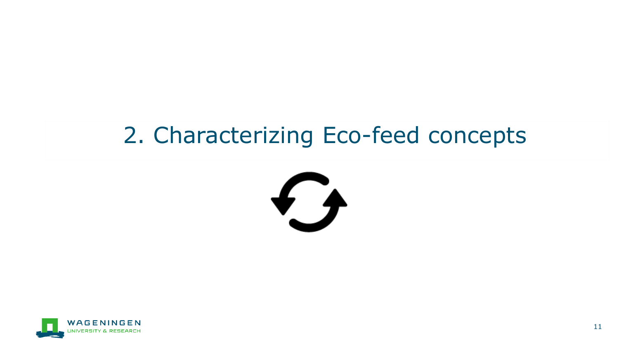### 2. Characterizing Eco-feed concepts



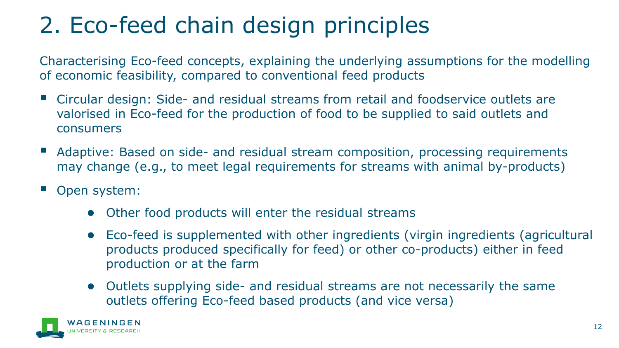## 2. Eco-feed chain design principles

Characterising Eco-feed concepts, explaining the underlying assumptions for the modelling of economic feasibility, compared to conventional feed products

- Circular design: Side- and residual streams from retail and foodservice outlets are valorised in Eco-feed for the production of food to be supplied to said outlets and consumers
- Adaptive: Based on side- and residual stream composition, processing requirements may change (e.g., to meet legal requirements for streams with animal by-products)
- Open system:
	- Other food products will enter the residual streams
	- Eco-feed is supplemented with other ingredients (virgin ingredients (agricultural products produced specifically for feed) or other co-products) either in feed production or at the farm
	- Outlets supplying side- and residual streams are not necessarily the same outlets offering Eco-feed based products (and vice versa)

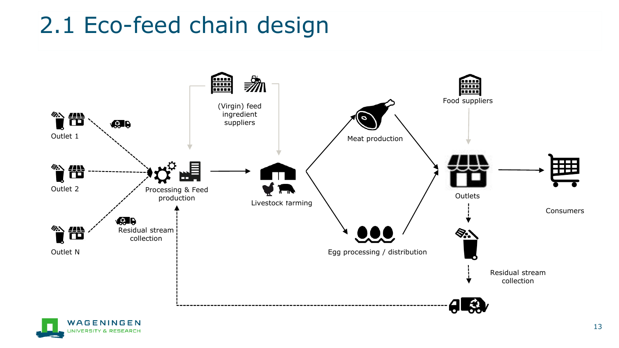### 2.1 Eco-feed chain design



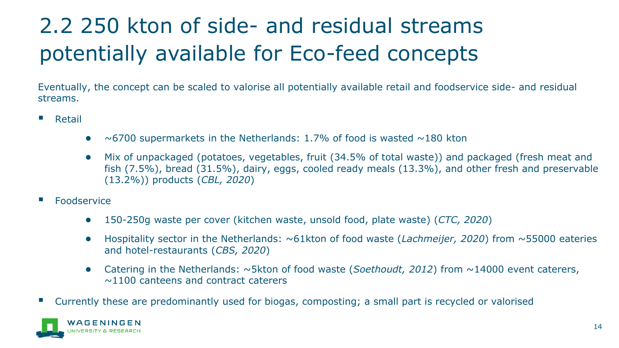## 2.2 250 kton of side- and residual streams potentially available for Eco-feed concepts

Eventually, the concept can be scaled to valorise all potentially available retail and foodservice side- and residual streams.

- Retail
	- $\bullet$  ~6700 supermarkets in the Netherlands: 1.7% of food is wasted ~180 kton
	- Mix of unpackaged (potatoes, vegetables, fruit (34.5% of total waste)) and packaged (fresh meat and fish (7.5%), bread (31.5%), dairy, eggs, cooled ready meals (13.3%), and other fresh and preservable (13.2%)) products (*CBL, 2020*)
- **Foodservice** 
	- 150-250g waste per cover (kitchen waste, unsold food, plate waste) (*CTC, 2020*)
	- Hospitality sector in the Netherlands: ~61kton of food waste (*Lachmeijer, 2020*) from ~55000 eateries and hotel-restaurants (*CBS, 2020*)
	- Catering in the Netherlands: ~5kton of food waste (*Soethoudt, 2012*) from ~14000 event caterers,  $\sim$ 1100 canteens and contract caterers
- Currently these are predominantly used for biogas, composting; a small part is recycled or valorised

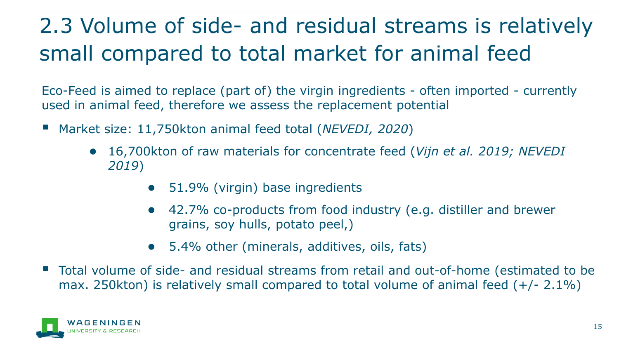### 2.3 Volume of side- and residual streams is relatively small compared to total market for animal feed

Eco-Feed is aimed to replace (part of) the virgin ingredients - often imported - currently used in animal feed, therefore we assess the replacement potential

- Market size: 11,750kton animal feed total (*NEVEDI, 2020*)
	- 16,700kton of raw materials for concentrate feed (*Vijn et al. 2019; NEVEDI 2019*)
		- 51.9% (virgin) base ingredients
		- 42.7% co-products from food industry (e.g. distiller and brewer grains, soy hulls, potato peel,)
		- 5.4% other (minerals, additives, oils, fats)
- Total volume of side- and residual streams from retail and out-of-home (estimated to be max. 250kton) is relatively small compared to total volume of animal feed (+/- 2.1%)

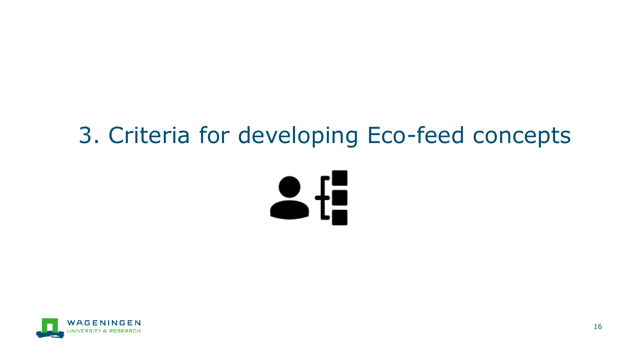## 3. Criteria for developing Eco-feed concepts



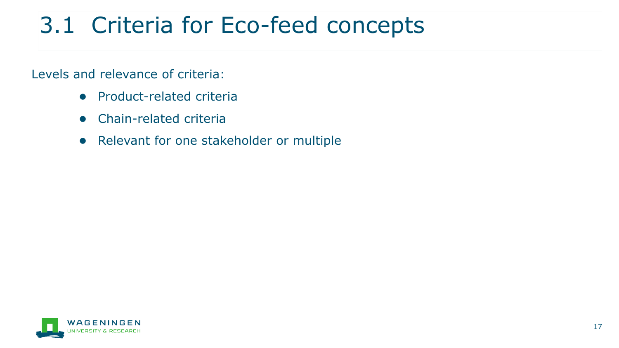## 3.1 Criteria for Eco-feed concepts

Levels and relevance of criteria:

- Product-related criteria
- Chain-related criteria
- Relevant for one stakeholder or multiple

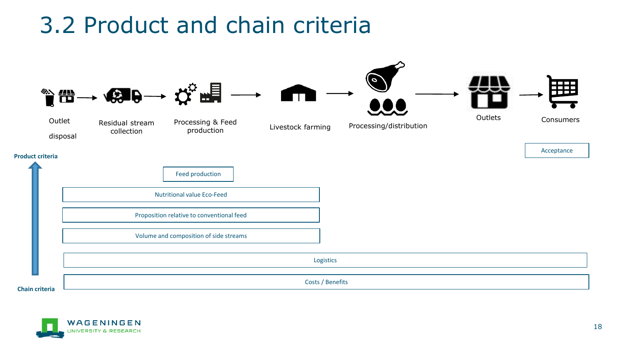### 3.2 Product and chain criteria



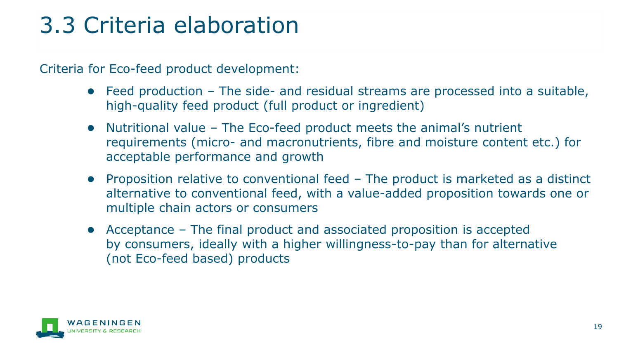## 3.3 Criteria elaboration

Criteria for Eco-feed product development:

- Feed production The side- and residual streams are processed into a suitable, high-quality feed product (full product or ingredient)
- Nutritional value The Eco-feed product meets the animal's nutrient requirements (micro- and macronutrients, fibre and moisture content etc.) for acceptable performance and growth
- Proposition relative to conventional feed The product is marketed as a distinct alternative to conventional feed, with a value-added proposition towards one or multiple chain actors or consumers
- Acceptance The final product and associated proposition is accepted by consumers, ideally with a higher willingness-to-pay than for alternative (not Eco-feed based) products

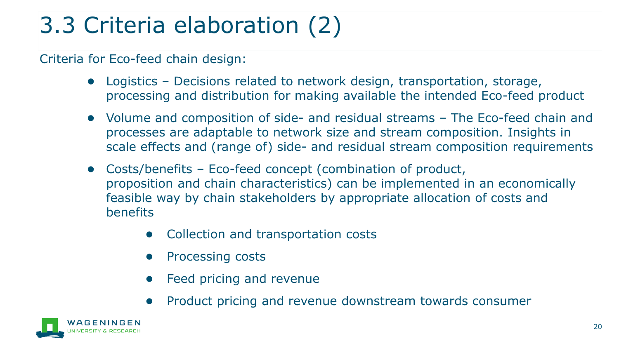# 3.3 Criteria elaboration (2)

Criteria for Eco-feed chain design:

- Logistics Decisions related to network design, transportation, storage, processing and distribution for making available the intended Eco-feed product
- Volume and composition of side- and residual streams The Eco-feed chain and processes are adaptable to network size and stream composition. Insights in scale effects and (range of) side- and residual stream composition requirements
- Costs/benefits Eco-feed concept (combination of product, proposition and chain characteristics) can be implemented in an economically feasible way by chain stakeholders by appropriate allocation of costs and benefits
	- Collection and transportation costs
	- Processing costs
	- Feed pricing and revenue
	- Product pricing and revenue downstream towards consumer

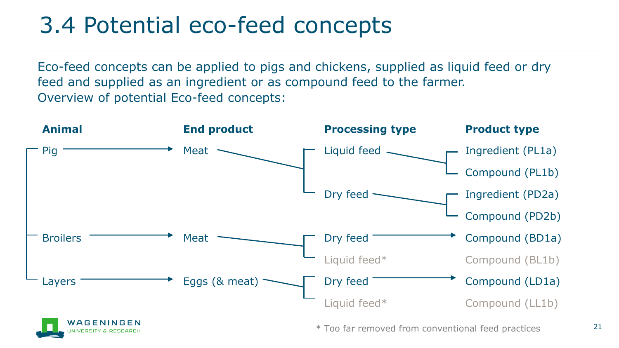### 3.4 Potential eco-feed concepts

Eco-feed concepts can be applied to pigs and chickens, supplied as liquid feed or dry feed and supplied as an ingredient or as compound feed to the farmer. Overview of potential Eco-feed concepts:

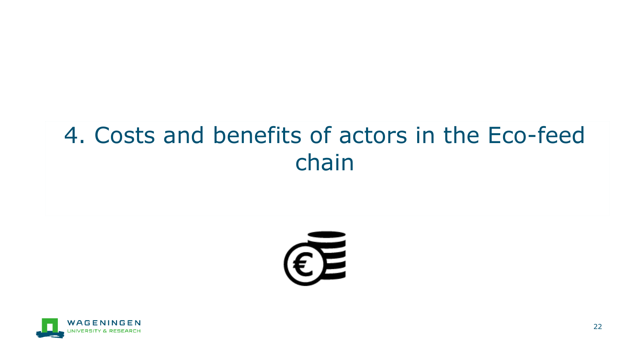### 4. Costs and benefits of actors in the Eco-feed chain



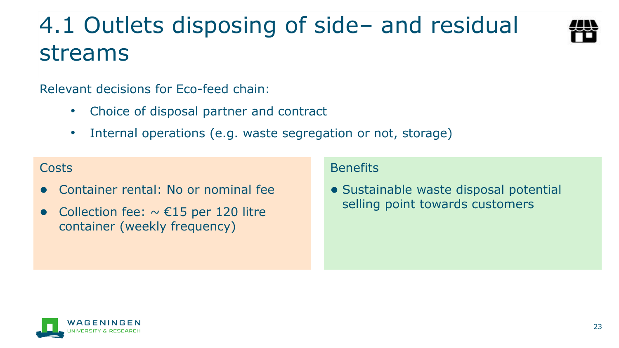### 4.1 Outlets disposing of side– and residual streams



Relevant decisions for Eco-feed chain:

- Choice of disposal partner and contract
- Internal operations (e.g. waste segregation or not, storage)

### Costs

- Container rental: No or nominal fee
- Collection fee:  $\sim \text{\textsterling}15$  per 120 litre container (weekly frequency)

### **Benefits**

● Sustainable waste disposal potential selling point towards customers

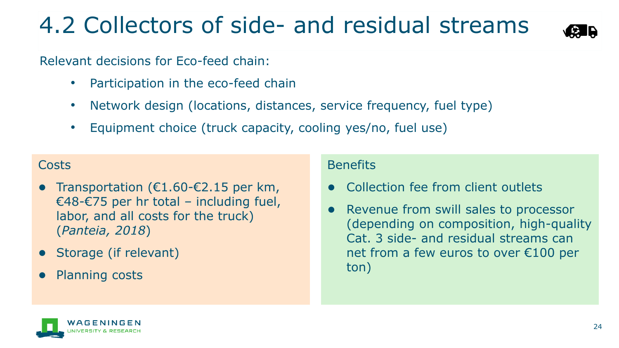## 4.2 Collectors of side- and residual streams



Relevant decisions for Eco-feed chain:

- Participation in the eco-feed chain
- Network design (locations, distances, service frequency, fuel type)
- Equipment choice (truck capacity, cooling yes/no, fuel use)

### **Costs**

- Transportation ( $€1.60-€2.15$  per km, €48-€75 per hr total – including fuel, labor, and all costs for the truck) (*Panteia, 2018*)
- Storage (if relevant)
- Planning costs

### Benefits

- Collection fee from client outlets
- Revenue from swill sales to processor (depending on composition, high-quality Cat. 3 side- and residual streams can net from a few euros to over €100 per ton)

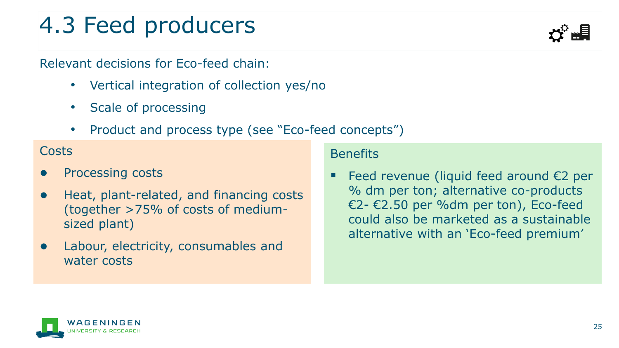## 4.3 Feed producers

Relevant decisions for Eco-feed chain:

- Vertical integration of collection yes/no
- Scale of processing
- Product and process type (see "Eco-feed concepts")

### Costs

- Processing costs
- Heat, plant-related, and financing costs (together >75% of costs of mediumsized plant)
- Labour, electricity, consumables and water costs

### **Benefits**

Feed revenue (liquid feed around  $E2$  per % dm per ton; alternative co-products €2- €2.50 per %dm per ton), Eco-feed could also be marketed as a sustainable alternative with an 'Eco-feed premium'

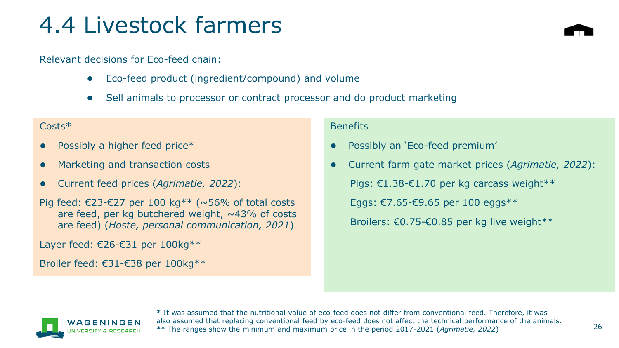### 4.4 Livestock farmers

#### Relevant decisions for Eco-feed chain:

- Eco-feed product (ingredient/compound) and volume
- Sell animals to processor or contract processor and do product marketing

#### Costs\*

- Possibly a higher feed price $*$
- Marketing and transaction costs
- Current feed prices (*Agrimatie, 2022*):
- Pig feed: €23-€27 per 100 kg<sup>\*\*</sup> (~56% of total costs are feed, per kg butchered weight,  $\sim$ 43% of costs are feed) (*Hoste, personal communication, 2021*)

Layer feed: €26-€31 per 100kg\*\*

Broiler feed: €31-€38 per 100kg\*\*

#### **Benefits**

- Possibly an 'Eco-feed premium'
- Current farm gate market prices (*Agrimatie, 2022*): Pigs: €1.38-€1.70 per kg carcass weight\*\* Eggs: €7.65-€9.65 per 100 eggs\*\* Broilers: €0.75-€0.85 per kg live weight\*\*



\* It was assumed that the nutritional value of eco-feed does not differ from conventional feed. Therefore, it was also assumed that replacing conventional feed by eco-feed does not affect the technical performance of the animals. \*\* The ranges show the minimum and maximum price in the period 2017-2021 (*Agrimatie, 2022*)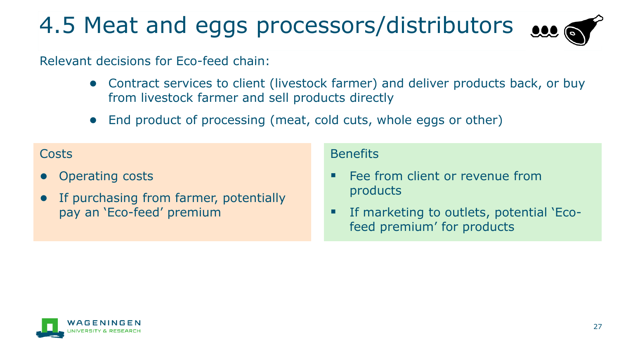# 4.5 Meat and eggs processors/distributors sec

Relevant decisions for Eco-feed chain:

- Contract services to client (livestock farmer) and deliver products back, or buy from livestock farmer and sell products directly
- End product of processing (meat, cold cuts, whole eggs or other)

### Costs

- Operating costs
- If purchasing from farmer, potentially pay an 'Eco-feed' premium

### **Benefits**

- Fee from client or revenue from products
- If marketing to outlets, potential 'Ecofeed premium' for products

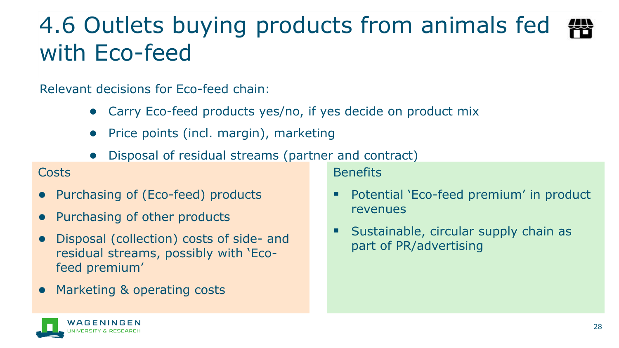## 4.6 Outlets buying products from animals fed with Eco-feed

Relevant decisions for Eco-feed chain:

- Carry Eco-feed products yes/no, if yes decide on product mix
- Price points (incl. margin), marketing
- Disposal of residual streams (partner and contract)

### Costs

- Purchasing of (Eco-feed) products
- Purchasing of other products
- Disposal (collection) costs of side- and residual streams, possibly with 'Ecofeed premium'
- Marketing & operating costs

**Benefits** 

- Potential `Eco-feed premium' in product revenues
- Sustainable, circular supply chain as part of PR/advertising

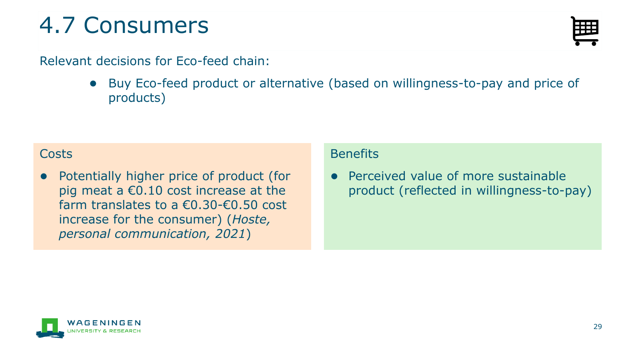## 4.7 Consumers

### Relevant decisions for Eco-feed chain:

● Buy Eco-feed product or alternative (based on willingness-to-pay and price of products)

### **Costs**

● Potentially higher price of product (for pig meat a  $€0.10$  cost increase at the farm translates to a  $\epsilon$ 0.30- $\epsilon$ 0.50 cost increase for the consumer) (*Hoste, personal communication, 2021*)

### **Benefits**

Perceived value of more sustainable product (reflected in willingness-to-pay)



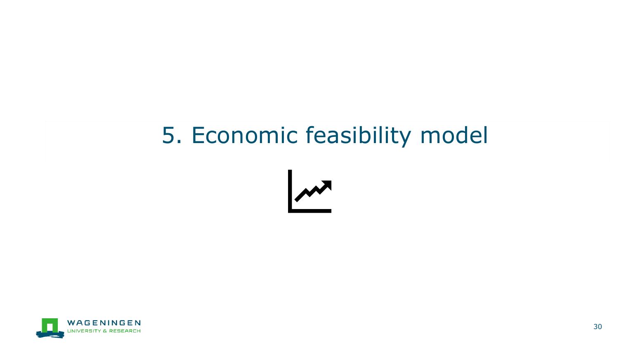### 5. Economic feasibility model



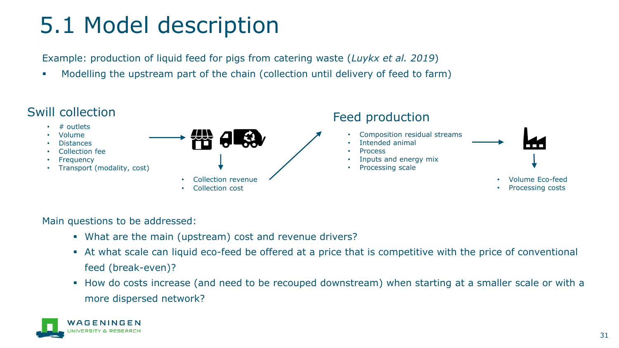## 5.1 Model description

Example: production of liquid feed for pigs from catering waste (*Luykx et al. 2019*)

Modelling the upstream part of the chain (collection until delivery of feed to farm)



Main questions to be addressed:

- What are the main (upstream) cost and revenue drivers?
- At what scale can liquid eco-feed be offered at a price that is competitive with the price of conventional feed (break-even)?
- How do costs increase (and need to be recouped downstream) when starting at a smaller scale or with a more dispersed network?

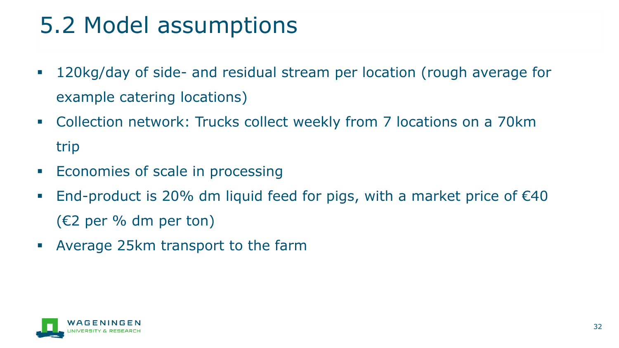## 5.2 Model assumptions

- 120kg/day of side- and residual stream per location (rough average for example catering locations)
- Collection network: Trucks collect weekly from 7 locations on a 70km trip
- **Economies of scale in processing**
- End-product is 20% dm liquid feed for pigs, with a market price of  $€40$ (€2 per % dm per ton)
- Average 25km transport to the farm

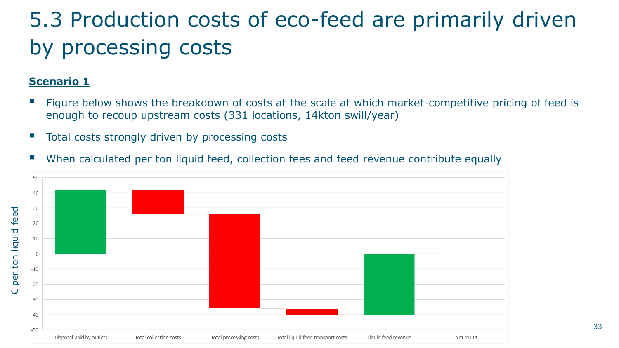### 5.3 Production costs of eco-feed are primarily driven by processing costs

### **Scenario 1**

- Figure below shows the breakdown of costs at the scale at which market-competitive pricing of feed is enough to recoup upstream costs (331 locations, 14kton swill/year)
- Total costs strongly driven by processing costs
- When calculated per ton liquid feed, collection fees and feed revenue contribute equally

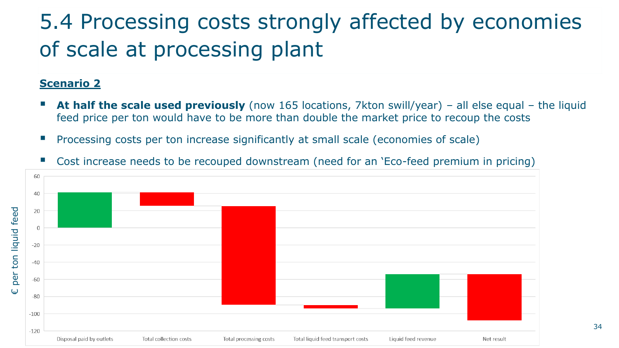### 5.4 Processing costs strongly affected by economies of scale at processing plant

#### **Scenario 2**

- **At half the scale used previously** (now 165 locations, 7kton swill/year) all else equal the liquid feed price per ton would have to be more than double the market price to recoup the costs
- Processing costs per ton increase significantly at small scale (economies of scale)



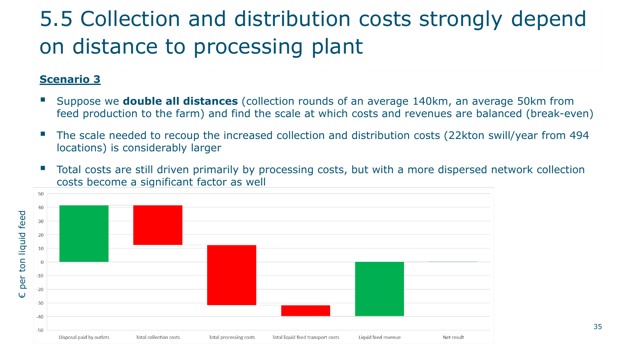### 5.5 Collection and distribution costs strongly depend on distance to processing plant

### **Scenario 3**

- Suppose we **double all distances** (collection rounds of an average 140km, an average 50km from feed production to the farm) and find the scale at which costs and revenues are balanced (break-even)
- The scale needed to recoup the increased collection and distribution costs (22kton swill/year from 494 locations) is considerably larger
- Total costs are still driven primarily by processing costs, but with a more dispersed network collection costs become a significant factor as well

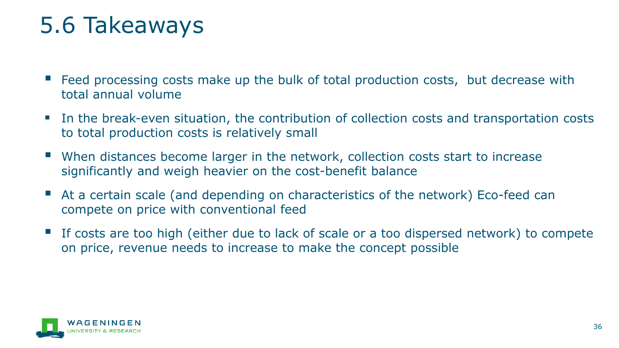## 5.6 Takeaways

- Eeed processing costs make up the bulk of total production costs, but decrease with total annual volume
- In the break-even situation, the contribution of collection costs and transportation costs to total production costs is relatively small
- When distances become larger in the network, collection costs start to increase significantly and weigh heavier on the cost-benefit balance
- At a certain scale (and depending on characteristics of the network) Eco-feed can compete on price with conventional feed
- If costs are too high (either due to lack of scale or a too dispersed network) to compete on price, revenue needs to increase to make the concept possible

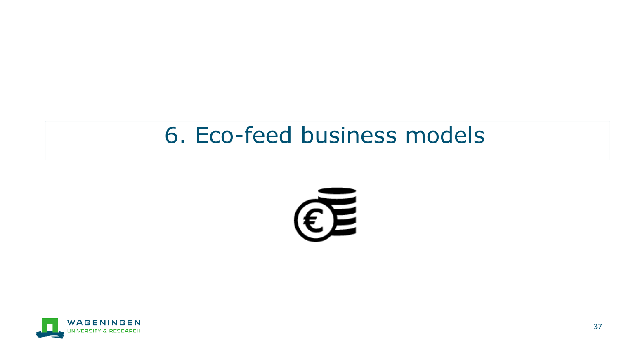### 6. Eco-feed business models



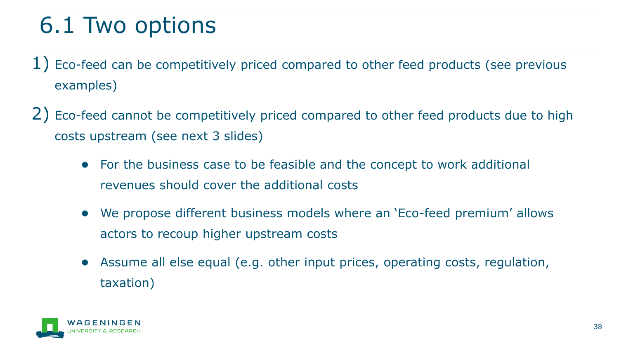## 6.1 Two options

- $1)$  Eco-feed can be competitively priced compared to other feed products (see previous examples)
- 2) Eco-feed cannot be competitively priced compared to other feed products due to high costs upstream (see next 3 slides)
	- For the business case to be feasible and the concept to work additional revenues should cover the additional costs
	- We propose different business models where an 'Eco-feed premium' allows actors to recoup higher upstream costs
	- Assume all else equal (e.g. other input prices, operating costs, regulation, taxation)

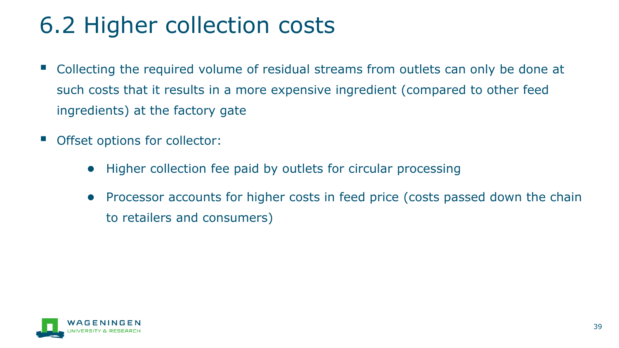## 6.2 Higher collection costs

- Collecting the required volume of residual streams from outlets can only be done at such costs that it results in a more expensive ingredient (compared to other feed ingredients) at the factory gate
- Offset options for collector:
	- Higher collection fee paid by outlets for circular processing
	- Processor accounts for higher costs in feed price (costs passed down the chain to retailers and consumers)

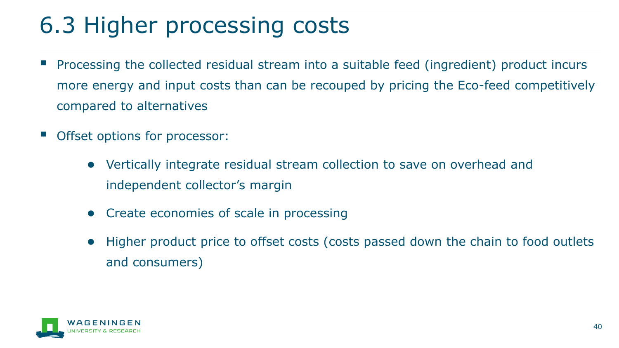## 6.3 Higher processing costs

- Processing the collected residual stream into a suitable feed (ingredient) product incurs more energy and input costs than can be recouped by pricing the Eco-feed competitively compared to alternatives
- Offset options for processor:
	- Vertically integrate residual stream collection to save on overhead and independent collector's margin
	- Create economies of scale in processing
	- Higher product price to offset costs (costs passed down the chain to food outlets and consumers)

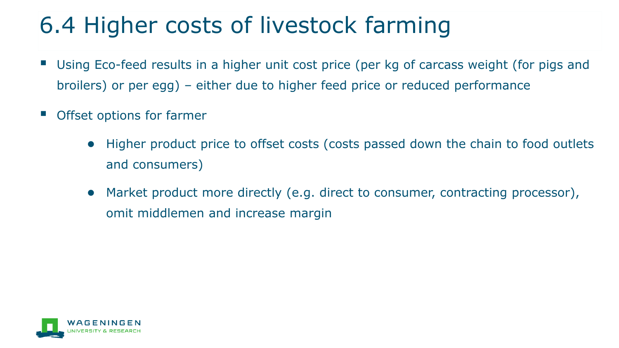## 6.4 Higher costs of livestock farming

- Using Eco-feed results in a higher unit cost price (per kg of carcass weight (for pigs and broilers) or per egg) – either due to higher feed price or reduced performance
- Offset options for farmer
	- Higher product price to offset costs (costs passed down the chain to food outlets and consumers)
	- Market product more directly (e.g. direct to consumer, contracting processor), omit middlemen and increase margin

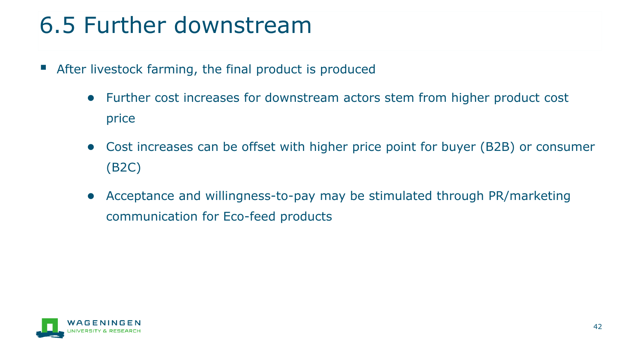## 6.5 Further downstream

- After livestock farming, the final product is produced
	- Further cost increases for downstream actors stem from higher product cost price
	- Cost increases can be offset with higher price point for buyer (B2B) or consumer (B2C)
	- Acceptance and willingness-to-pay may be stimulated through PR/marketing communication for Eco-feed products

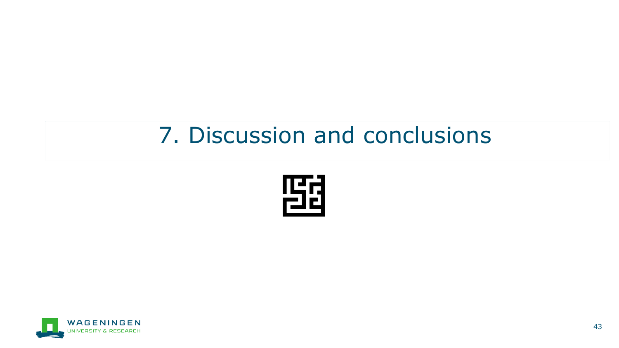### 7. Discussion and conclusions



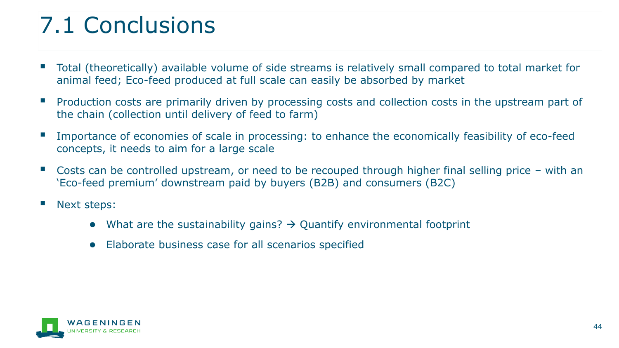## 7.1 Conclusions

- Total (theoretically) available volume of side streams is relatively small compared to total market for animal feed; Eco-feed produced at full scale can easily be absorbed by market
- Production costs are primarily driven by processing costs and collection costs in the upstream part of the chain (collection until delivery of feed to farm)
- Importance of economies of scale in processing: to enhance the economically feasibility of eco-feed concepts, it needs to aim for a large scale
- Costs can be controlled upstream, or need to be recouped through higher final selling price with an 'Eco-feed premium' downstream paid by buyers (B2B) and consumers (B2C)
- Next steps:
	- $\bullet$  What are the sustainability gains?  $\rightarrow$  Quantify environmental footprint
	- Elaborate business case for all scenarios specified

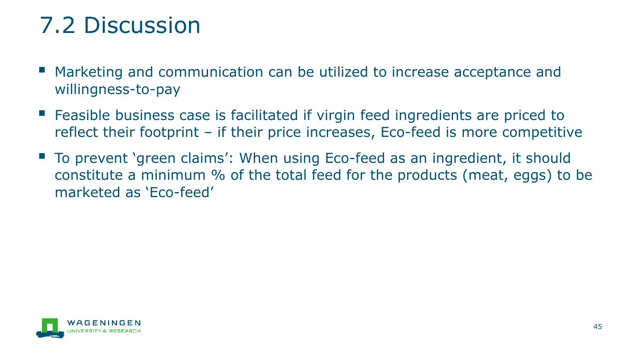## 7.2 Discussion

- Marketing and communication can be utilized to increase acceptance and willingness-to-pay
- Feasible business case is facilitated if virgin feed ingredients are priced to reflect their footprint – if their price increases, Eco-feed is more competitive
- To prevent 'green claims': When using Eco-feed as an ingredient, it should constitute a minimum % of the total feed for the products (meat, eggs) to be marketed as 'Eco-feed'